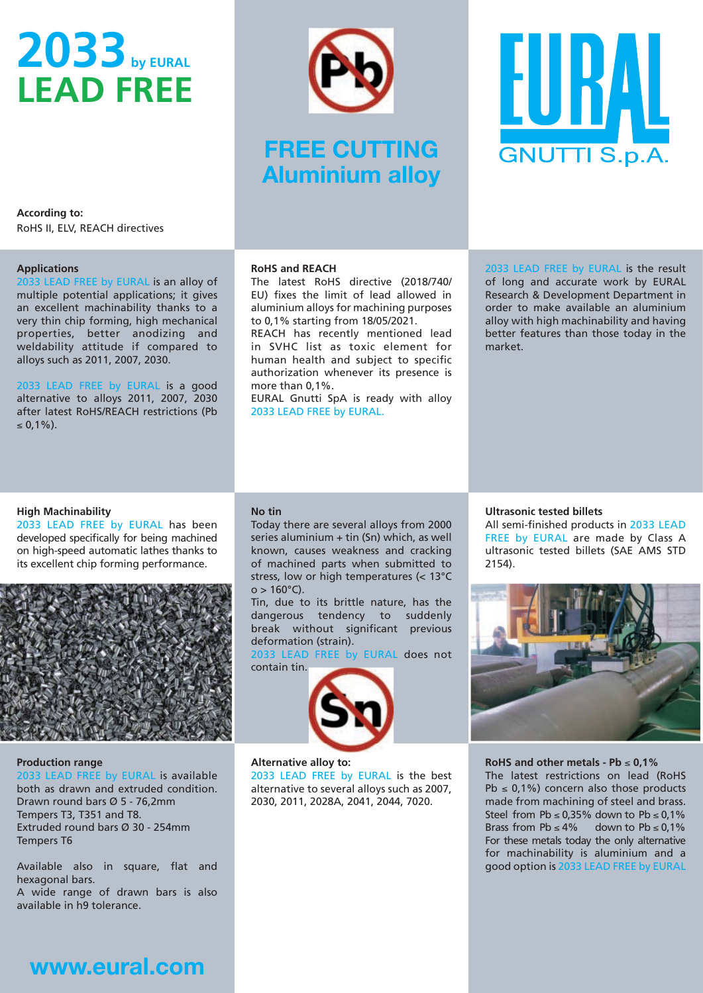# 2033 by EURAL LEAD FREE



# **FREE CUTTING Aluminium alloy**



According to: RoHS II, ELV, REACH directives

#### Applications

2033 LEAD FREE by EURAL is an alloy of multiple potential applications; it gives an excellent machinability thanks to a very thin chip forming, high mechanical properties, better anodizing and weldability attitude if compared to alloys such as 2011, 2007, 2030.

2033 LEAD FREE by EURAL is a good alternative to alloys 2011, 2007, 2030 after latest RoHS/REACH restrictions (Pb  $< 0.1\%$ ).

#### RoHS and REACH

The latest RoHS directive (2018/740/ EU) fixes the limit of lead allowed in aluminium alloys for machining purposes to 0,1% starting from 18/05/2021.

REACH has recently mentioned lead in SVHC list as toxic element for human health and subject to specific authorization whenever its presence is more than 0,1%.

EURAL Gnutti SpA is ready with alloy 2033 LEAD FREE by EURAL.

2033 LEAD FREE by EURAL is the result of long and accurate work by EURAL Research & Development Department in order to make available an aluminium alloy with high machinability and having better features than those today in the market.

#### High Machinability

2033 LEAD FREE by EURAL has been developed specifically for being machined on high-speed automatic lathes thanks to its excellent chip forming performance.



#### Production range

2033 LEAD FREE by EURAL is available both as drawn and extruded condition. Drawn round bars Ø 5 - 76,2mm Tempers T3, T351 and T8. Extruded round bars Ø 30 - 254mm Tempers T6

Available also in square, flat and hexagonal bars. A wide range of drawn bars is also

available in h9 tolerance.

## No tin

Today there are several alloys from 2000 series aluminium + tin (Sn) which, as well known, causes weakness and cracking of machined parts when submitted to stress, low or high temperatures (< 13°C  $o > 160^{\circ}$ C).

Tin, due to its brittle nature, has the dangerous tendency to suddenly break without significant previous deformation (strain).

2033 LEAD FREE by EURAL does not contain tin.



#### Alternative alloy to:

2033 LEAD FREE by EURAL is the best alternative to several alloys such as 2007, 2030, 2011, 2028A, 2041, 2044, 7020.

### Ultrasonic tested billets

All semi-finished products in 2033 LEAD FREE by EURAL are made by Class A ultrasonic tested billets (SAE AMS STD 2154).



#### RoHS and other metals - Pb  $\leq 0.1\%$

The latest restrictions on lead (RoHS Pb  $\leq$  0,1%) concern also those products made from machining of steel and brass. Steel from Pb  $\leq$  0,35% down to Pb  $\leq$  0,1% Brass from Pb  $\leq 4\%$  down to Pb  $\leq 0.1\%$ For these metals today the only alternative for machinability is aluminium and a good option is 2033 LEAD FREE by EURAL

# **www.eural.com**